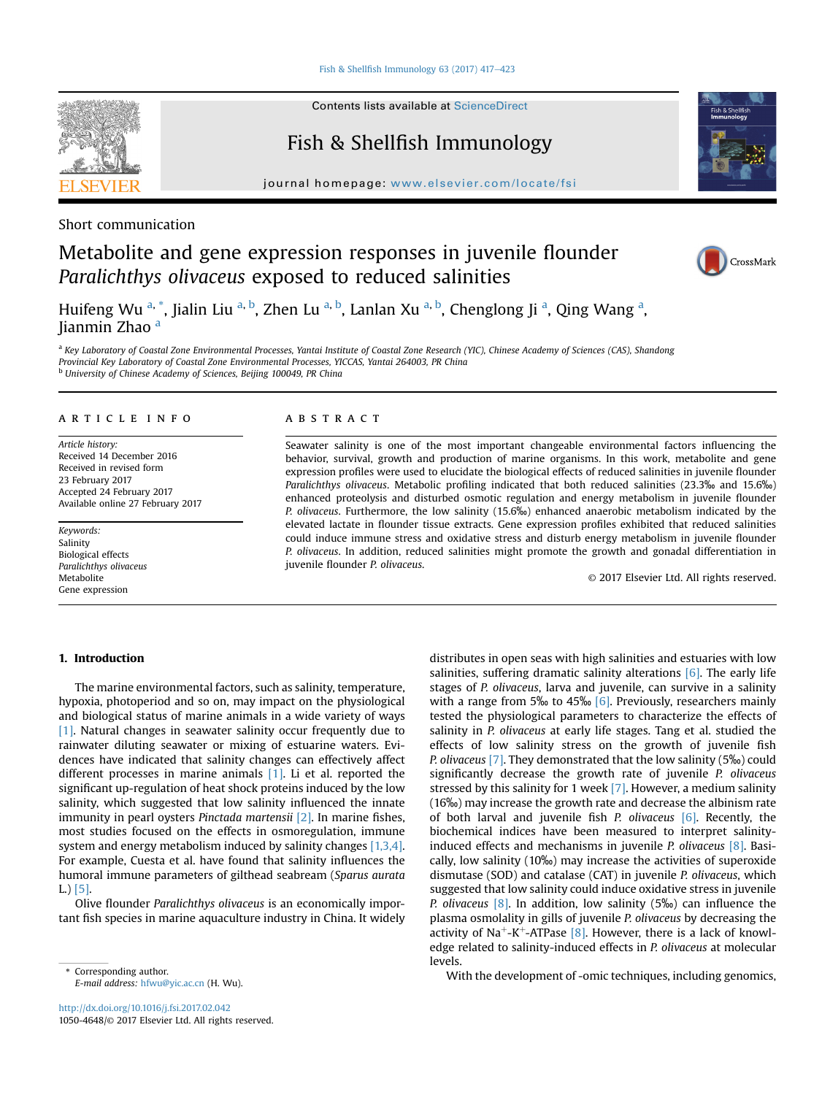Fish & Shellfish Immunology 63 (2017)  $417-423$  $417-423$ 



Contents lists available at ScienceDirect

# Fish & Shellfish Immunology

journal homepage: [www.elsevier.com/locate/fsi](http://www.elsevier.com/locate/fsi)



# Metabolite and gene expression responses in juvenile flounder Paralichthys olivaceus exposed to reduced salinities





Huifeng Wu <sup>a,</sup> \*, Jialin Liu <sup>a, b</sup>, Zhen Lu <sup>a, b</sup>, Lanlan Xu <sup>a, b</sup>, Chenglong Ji <sup>a</sup>, Qing Wang <sup>a</sup>, Iianmin Zhao <sup>a</sup>

a Key Laboratory of Coastal Zone Environmental Processes, Yantai Institute of Coastal Zone Research (YIC), Chinese Academy of Sciences (CAS), Shandong Provincial Key Laboratory of Coastal Zone Environmental Processes, YICCAS, Yantai 264003, PR China

<sup>b</sup> University of Chinese Academy of Sciences, Beijing 100049, PR China

## article info

Article history: Received 14 December 2016 Received in revised form 23 February 2017 Accepted 24 February 2017 Available online 27 February 2017

Keywords: Salinity Biological effects Paralichthys olivaceus Metabolite Gene expression

## **ABSTRACT**

Seawater salinity is one of the most important changeable environmental factors influencing the behavior, survival, growth and production of marine organisms. In this work, metabolite and gene expression profiles were used to elucidate the biological effects of reduced salinities in juvenile flounder Paralichthys olivaceus. Metabolic profiling indicated that both reduced salinities (23.3‰ and 15.6‰) enhanced proteolysis and disturbed osmotic regulation and energy metabolism in juvenile flounder P. olivaceus. Furthermore, the low salinity (15.6‰) enhanced anaerobic metabolism indicated by the elevated lactate in flounder tissue extracts. Gene expression profiles exhibited that reduced salinities could induce immune stress and oxidative stress and disturb energy metabolism in juvenile flounder P. olivaceus. In addition, reduced salinities might promote the growth and gonadal differentiation in juvenile flounder P. olivaceus.

© 2017 Elsevier Ltd. All rights reserved.

# 1. Introduction

The marine environmental factors, such as salinity, temperature, hypoxia, photoperiod and so on, may impact on the physiological and biological status of marine animals in a wide variety of ways [\[1\]](#page-5-0). Natural changes in seawater salinity occur frequently due to rainwater diluting seawater or mixing of estuarine waters. Evidences have indicated that salinity changes can effectively affect different processes in marine animals [\[1\]](#page-5-0). Li et al. reported the significant up-regulation of heat shock proteins induced by the low salinity, which suggested that low salinity influenced the innate immunity in pearl oysters Pinctada martensii [\[2\].](#page-5-0) In marine fishes, most studies focused on the effects in osmoregulation, immune system and energy metabolism induced by salinity changes [\[1,3,4\].](#page-5-0) For example, Cuesta et al. have found that salinity influences the humoral immune parameters of gilthead seabream (Sparus aurata L.) [\[5\].](#page-5-0)

Olive flounder Paralichthys olivaceus is an economically important fish species in marine aquaculture industry in China. It widely

E-mail address: [hfwu@yic.ac.cn](mailto:hfwu@yic.ac.cn) (H. Wu).

distributes in open seas with high salinities and estuaries with low salinities, suffering dramatic salinity alterations  $[6]$ . The early life stages of P. olivaceus, larva and juvenile, can survive in a salinity with a range from 5‰ to 45‰  $[6]$ . Previously, researchers mainly tested the physiological parameters to characterize the effects of salinity in P. olivaceus at early life stages. Tang et al. studied the effects of low salinity stress on the growth of juvenile fish P. olivaceus [\[7\].](#page-5-0) They demonstrated that the low salinity (5‰) could significantly decrease the growth rate of juvenile P. olivaceus stressed by this salinity for 1 week [\[7\]](#page-5-0). However, a medium salinity (16‰) may increase the growth rate and decrease the albinism rate of both larval and juvenile fish P. olivaceus  $[6]$ . Recently, the biochemical indices have been measured to interpret salinityinduced effects and mechanisms in juvenile P. olivaceus [\[8\]](#page-5-0). Basically, low salinity (10‰) may increase the activities of superoxide dismutase (SOD) and catalase (CAT) in juvenile P. olivaceus, which suggested that low salinity could induce oxidative stress in juvenile *P.* olivaceus [\[8\].](#page-5-0) In addition, low salinity  $(5\%)$  can influence the plasma osmolality in gills of juvenile P. olivaceus by decreasing the activity of Na<sup>+</sup>-K<sup>+</sup>-ATPase  $[8]$ . However, there is a lack of knowledge related to salinity-induced effects in P. olivaceus at molecular levels.

Corresponding author.<br>
Figure 1 divers b function of  $\sim$  Corresponding genomics,  $\sim$  Corresponding genomics,  $\sim$  Corresponding genomics,  $\sim$  Corresponding genomics,  $\sim$  Corresponding author.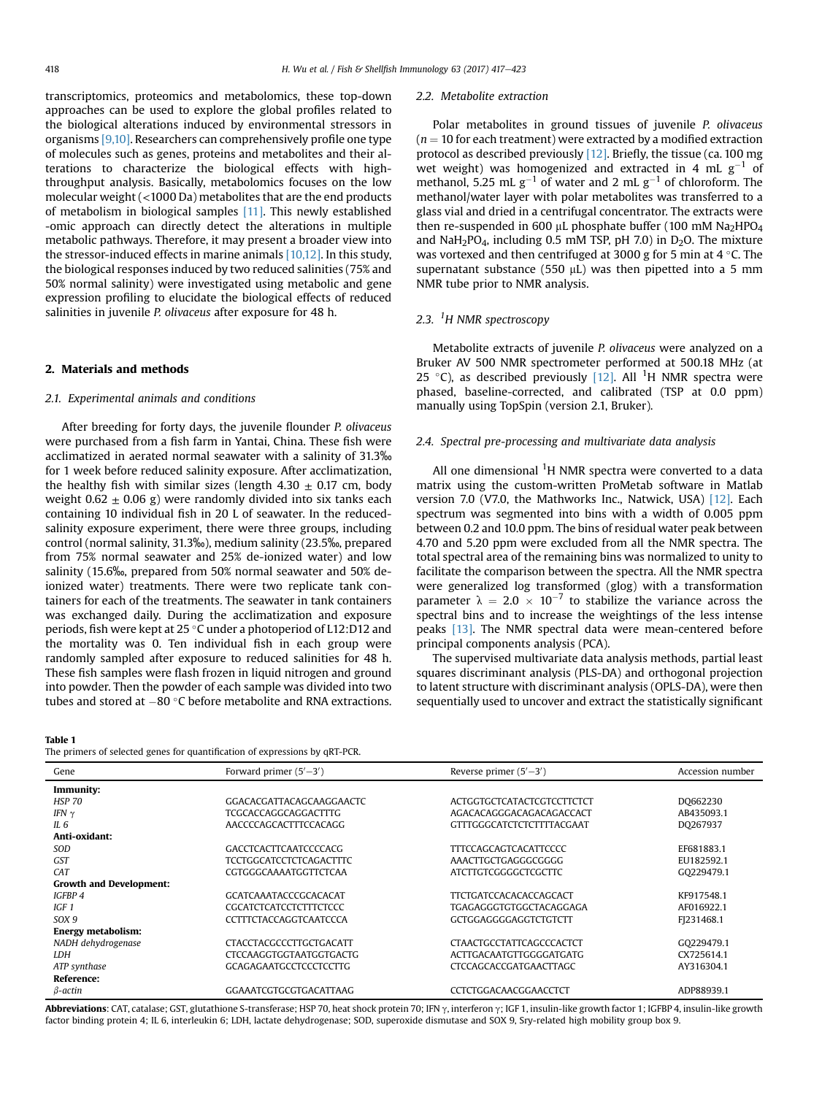<span id="page-1-0"></span>transcriptomics, proteomics and metabolomics, these top-down approaches can be used to explore the global profiles related to the biological alterations induced by environmental stressors in organisms [\[9,10\]](#page-5-0). Researchers can comprehensively profile one type of molecules such as genes, proteins and metabolites and their alterations to characterize the biological effects with highthroughput analysis. Basically, metabolomics focuses on the low molecular weight (<1000 Da) metabolites that are the end products of metabolism in biological samples [\[11\].](#page-5-0) This newly established -omic approach can directly detect the alterations in multiple metabolic pathways. Therefore, it may present a broader view into the stressor-induced effects in marine animals [\[10,12\]](#page-5-0). In this study, the biological responses induced by two reduced salinities (75% and 50% normal salinity) were investigated using metabolic and gene expression profiling to elucidate the biological effects of reduced salinities in juvenile P. olivaceus after exposure for 48 h.

## 2. Materials and methods

### 2.1. Experimental animals and conditions

After breeding for forty days, the juvenile flounder P. olivaceus were purchased from a fish farm in Yantai, China. These fish were acclimatized in aerated normal seawater with a salinity of 31.3‰ for 1 week before reduced salinity exposure. After acclimatization, the healthy fish with similar sizes (length  $4.30 \pm 0.17$  cm, body weight 0.62  $\pm$  0.06 g) were randomly divided into six tanks each containing 10 individual fish in 20 L of seawater. In the reducedsalinity exposure experiment, there were three groups, including control (normal salinity, 31.3‰), medium salinity (23.5‰, prepared from 75% normal seawater and 25% de-ionized water) and low salinity (15.6‰, prepared from 50% normal seawater and 50% deionized water) treatments. There were two replicate tank containers for each of the treatments. The seawater in tank containers was exchanged daily. During the acclimatization and exposure periods, fish were kept at 25 °C under a photoperiod of L12:D12 and the mortality was 0. Ten individual fish in each group were randomly sampled after exposure to reduced salinities for 48 h. These fish samples were flash frozen in liquid nitrogen and ground into powder. Then the powder of each sample was divided into two

#### Table 1

Growth and Development:

Energy metabolism:

Reference:

# tubes and stored at  $-80$  °C before metabolite and RNA extractions. The primers of selected genes for quantification of expressions by qRT-PCR. Gene  $\qquad \qquad$  Forward primer  $(5' - 3')$  $S$  Reverse primer  $(5'-3)$ ) Accession number Immunity: HSP 70 GGACACGATTACAGCAAGGAACTC ACTGGTGCTCATACTCGTCCTTCTCT DQ662230 IFN g TCGCACCAGGCAGGACTTTG AGACACAGGGACAGACAGACCACT AB435093.1 GTTTGGGCATCTCTCTTTTACGAAT Anti-oxidant: SOD GACCTCACTTCAATCCCCACG TTTCCAGCAGTCACATTCCCC EF681883.1

GST TCCTGGCATCCTCTCAGACTTTC AAACTTGCTGAGGGCGGGG EU182592.1 CAT CGTGGGCAAAATGGTTCTCAA ATCTTGTCGGGGCTCGCTTC CAT CG229479.1

IGFBP 4 GCATCAAATACCCGCACACAT TTCTGATCCACACACCAGCACT KF917548.1 IGF 1 CGCATCTCATCCTCTTTCTCCC TGAGAGGGTGTGGCTACAGGAGA AF016922.1 SOX 9 CCTTTCTACCAGGTCAATCCCA GCTGGAGGGGGGAGGTCTGTCTT FJ231468.1

NADH dehydrogenase 
CTACCTACCTACCCCCTTGCTGACATT

CTAACTGCCTATTCAGCCCACTCT

CO229479.1 LDH CTCCAAGGTGGTAATGGTGACTG ACTTGACAATGTTGGGGATGATG CX725614.1 ATP synthase **GCAGAGAATGCCTCCCTCCTTG** CTCCAGCACCGATGAACTTAGC AY316304.1

 $β$ -actin GGAAATCGTGCGTGACATTAAG CCTCTGGACAACGGAACCTCT ADP88939.1

Polar metabolites in ground tissues of juvenile P. olivaceus  $(n = 10$  for each treatment) were extracted by a modified extraction protocol as described previously [\[12\].](#page-5-0) Briefly, the tissue (ca. 100 mg wet weight) was homogenized and extracted in 4 mL  $g^{-1}$  of methanol, 5.25 mL  $g^{-1}$  of water and 2 mL  $g^{-1}$  of chloroform. The methanol/water layer with polar metabolites was transferred to a glass vial and dried in a centrifugal concentrator. The extracts were then re-suspended in 600  $\mu$ L phosphate buffer (100 mM Na<sub>2</sub>HPO<sub>4</sub> and NaH<sub>2</sub>PO<sub>4</sub>, including 0.5 mM TSP, pH 7.0) in  $D_2O$ . The mixture was vortexed and then centrifuged at 3000 g for 5 min at 4  $\degree$ C. The supernatant substance (550  $\mu$ L) was then pipetted into a 5 mm

# 2.3. <sup>1</sup>H NMR spectroscopy

NMR tube prior to NMR analysis.

2.2. Metabolite extraction

Metabolite extracts of juvenile P. olivaceus were analyzed on a Bruker AV 500 NMR spectrometer performed at 500.18 MHz (at 25 °C), as described previously  $[12]$ . All <sup>1</sup>H NMR spectra were phased, baseline-corrected, and calibrated (TSP at 0.0 ppm) manually using TopSpin (version 2.1, Bruker).

### 2.4. Spectral pre-processing and multivariate data analysis

All one dimensional  ${}^{1}H$  NMR spectra were converted to a data matrix using the custom-written ProMetab software in Matlab version 7.0 (V7.0, the Mathworks Inc., Natwick, USA) [\[12\]](#page-5-0). Each spectrum was segmented into bins with a width of 0.005 ppm between 0.2 and 10.0 ppm. The bins of residual water peak between 4.70 and 5.20 ppm were excluded from all the NMR spectra. The total spectral area of the remaining bins was normalized to unity to facilitate the comparison between the spectra. All the NMR spectra were generalized log transformed (glog) with a transformation parameter  $\lambda = 2.0 \times 10^{-7}$  to stabilize the variance across the spectral bins and to increase the weightings of the less intense peaks [\[13\].](#page-5-0) The NMR spectral data were mean-centered before principal components analysis (PCA).

The supervised multivariate data analysis methods, partial least squares discriminant analysis (PLS-DA) and orthogonal projection to latent structure with discriminant analysis (OPLS-DA), were then sequentially used to uncover and extract the statistically significant

| Abbreviations: CAT, catalase; GST, glutathione S-transferase; HSP 70, heat shock protein 70; IFN $\gamma$ , interferon $\gamma$ ; IGF 1, insulin-like growth factor 1; IGFBP 4, insulin-like growth |  |
|-----------------------------------------------------------------------------------------------------------------------------------------------------------------------------------------------------|--|
| factor binding protein 4; IL 6, interleukin 6; LDH, lactate dehydrogenase; SOD, superoxide dismutase and SOX 9, Sry-related high mobility group box 9.                                              |  |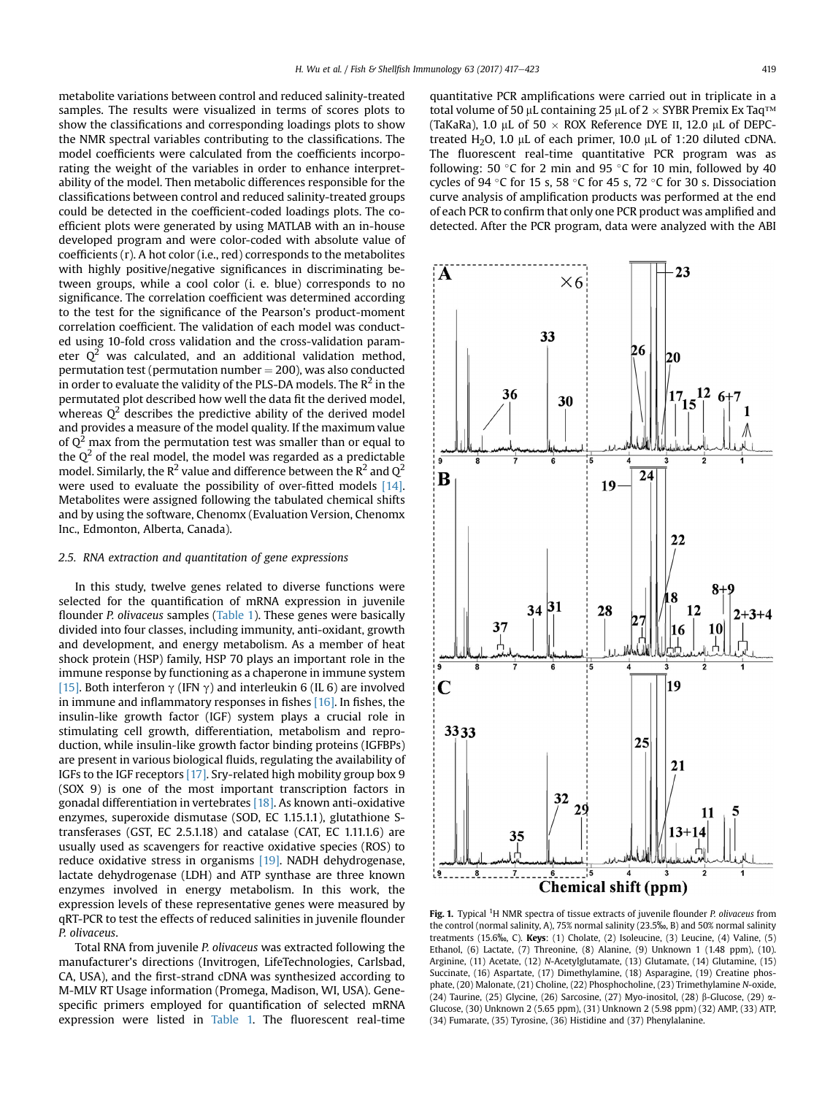<span id="page-2-0"></span>metabolite variations between control and reduced salinity-treated samples. The results were visualized in terms of scores plots to show the classifications and corresponding loadings plots to show the NMR spectral variables contributing to the classifications. The model coefficients were calculated from the coefficients incorporating the weight of the variables in order to enhance interpretability of the model. Then metabolic differences responsible for the classifications between control and reduced salinity-treated groups could be detected in the coefficient-coded loadings plots. The coefficient plots were generated by using MATLAB with an in-house developed program and were color-coded with absolute value of coefficients (r). A hot color (i.e., red) corresponds to the metabolites with highly positive/negative significances in discriminating between groups, while a cool color (i. e. blue) corresponds to no significance. The correlation coefficient was determined according to the test for the significance of the Pearson's product-moment correlation coefficient. The validation of each model was conducted using 10-fold cross validation and the cross-validation parameter  $Q^2$  was calculated, and an additional validation method, permutation test (permutation number  $= 200$ ), was also conducted in order to evaluate the validity of the PLS-DA models. The  $R^2$  in the permutated plot described how well the data fit the derived model, whereas  $Q^2$  describes the predictive ability of the derived model and provides a measure of the model quality. If the maximum value of  $Q^2$  max from the permutation test was smaller than or equal to the  $Q^2$  of the real model, the model was regarded as a predictable model. Similarly, the  $\mathbb{R}^2$  value and difference between the  $\mathbb{R}^2$  and  $\mathbb{Q}^2$ were used to evaluate the possibility of over-fitted models [\[14\].](#page-5-0) Metabolites were assigned following the tabulated chemical shifts and by using the software, Chenomx (Evaluation Version, Chenomx Inc., Edmonton, Alberta, Canada).

## 2.5. RNA extraction and quantitation of gene expressions

In this study, twelve genes related to diverse functions were selected for the quantification of mRNA expression in juvenile flounder P. olivaceus samples [\(Table 1](#page-1-0)). These genes were basically divided into four classes, including immunity, anti-oxidant, growth and development, and energy metabolism. As a member of heat shock protein (HSP) family, HSP 70 plays an important role in the immune response by functioning as a chaperone in immune system [\[15\]](#page-5-0). Both interferon  $\gamma$  (IFN  $\gamma$ ) and interleukin 6 (IL 6) are involved in immune and inflammatory responses in fishes [\[16\]](#page-5-0). In fishes, the insulin-like growth factor (IGF) system plays a crucial role in stimulating cell growth, differentiation, metabolism and reproduction, while insulin-like growth factor binding proteins (IGFBPs) are present in various biological fluids, regulating the availability of IGFs to the IGF receptors [\[17\].](#page-5-0) Sry-related high mobility group box 9 (SOX 9) is one of the most important transcription factors in gonadal differentiation in vertebrates [\[18\]](#page-6-0). As known anti-oxidative enzymes, superoxide dismutase (SOD, EC 1.15.1.1), glutathione Stransferases (GST, EC 2.5.1.18) and catalase (CAT, EC 1.11.1.6) are usually used as scavengers for reactive oxidative species (ROS) to reduce oxidative stress in organisms [\[19\].](#page-6-0) NADH dehydrogenase, lactate dehydrogenase (LDH) and ATP synthase are three known enzymes involved in energy metabolism. In this work, the expression levels of these representative genes were measured by qRT-PCR to test the effects of reduced salinities in juvenile flounder P. olivaceus.

Total RNA from juvenile P. olivaceus was extracted following the manufacturer's directions (Invitrogen, LifeTechnologies, Carlsbad, CA, USA), and the first-strand cDNA was synthesized according to M-MLV RT Usage information (Promega, Madison, WI, USA). Genespecific primers employed for quantification of selected mRNA expression were listed in [Table 1.](#page-1-0) The fluorescent real-time quantitative PCR amplifications were carried out in triplicate in a total volume of 50  $\mu$ L containing 25  $\mu$ L of 2  $\times$  SYBR Premix Ex Taq<sup>TM</sup> (TaKaRa), 1.0 µL of 50  $\times$  ROX Reference DYE II, 12.0 µL of DEPCtreated H<sub>2</sub>O, 1.0  $\mu$ L of each primer, 10.0  $\mu$ L of 1:20 diluted cDNA. The fluorescent real-time quantitative PCR program was as following: 50 °C for 2 min and 95 °C for 10 min, followed by 40 cycles of 94 °C for 15 s, 58 °C for 45 s, 72 °C for 30 s. Dissociation curve analysis of amplification products was performed at the end of each PCR to confirm that only one PCR product was amplified and detected. After the PCR program, data were analyzed with the ABI



Fig. 1. Typical <sup>1</sup>H NMR spectra of tissue extracts of juvenile flounder P. olivaceus from the control (normal salinity, A), 75% normal salinity (23.5‰, B) and 50% normal salinity treatments (15.6‰, C). Keys: (1) Cholate, (2) Isoleucine, (3) Leucine, (4) Valine, (5) Ethanol, (6) Lactate, (7) Threonine, (8) Alanine, (9) Unknown 1 (1.48 ppm), (10). Arginine, (11) Acetate, (12) N-Acetylglutamate, (13) Glutamate, (14) Glutamine, (15) Succinate, (16) Aspartate, (17) Dimethylamine, (18) Asparagine, (19) Creatine phosphate, (20) Malonate, (21) Choline, (22) Phosphocholine, (23) Trimethylamine N-oxide, (24) Taurine, (25) Glycine, (26) Sarcosine, (27) Myo-inositol, (28)  $\beta$ -Glucose, (29)  $\alpha$ -Glucose, (30) Unknown 2 (5.65 ppm), (31) Unknown 2 (5.98 ppm) (32) AMP, (33) ATP, (34) Fumarate, (35) Tyrosine, (36) Histidine and (37) Phenylalanine.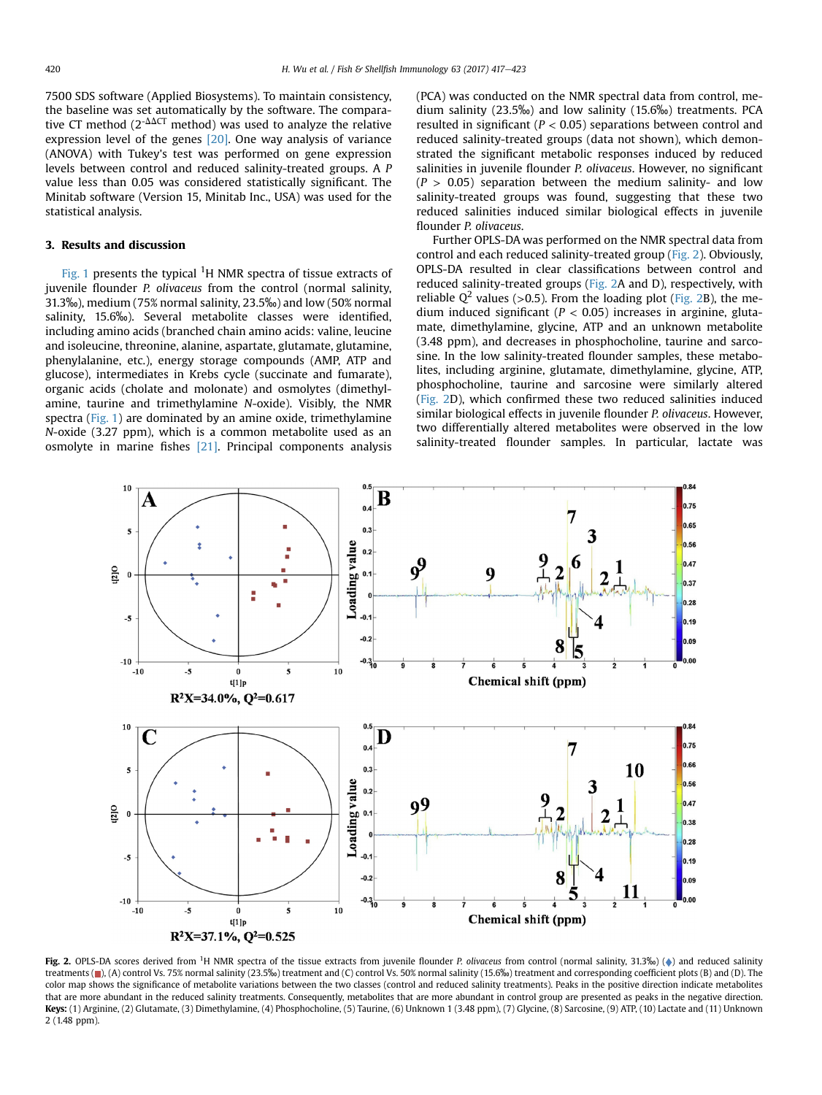7500 SDS software (Applied Biosystems). To maintain consistency, the baseline was set automatically by the software. The comparative CT method (2<sup>- $\Delta\Delta CT$ </sup> method) was used to analyze the relative expression level of the genes [\[20\]](#page-6-0). One way analysis of variance (ANOVA) with Tukey's test was performed on gene expression levels between control and reduced salinity-treated groups. A P value less than 0.05 was considered statistically significant. The Minitab software (Version 15, Minitab Inc., USA) was used for the statistical analysis.

## 3. Results and discussion

[Fig. 1](#page-2-0) presents the typical  ${}^{1}$ H NMR spectra of tissue extracts of juvenile flounder P. olivaceus from the control (normal salinity, 31.3‰), medium (75% normal salinity, 23.5‰) and low (50% normal salinity, 15.6‰). Several metabolite classes were identified, including amino acids (branched chain amino acids: valine, leucine and isoleucine, threonine, alanine, aspartate, glutamate, glutamine, phenylalanine, etc.), energy storage compounds (AMP, ATP and glucose), intermediates in Krebs cycle (succinate and fumarate), organic acids (cholate and molonate) and osmolytes (dimethylamine, taurine and trimethylamine N-oxide). Visibly, the NMR spectra ([Fig. 1\)](#page-2-0) are dominated by an amine oxide, trimethylamine N-oxide (3.27 ppm), which is a common metabolite used as an osmolyte in marine fishes [\[21\].](#page-6-0) Principal components analysis (PCA) was conducted on the NMR spectral data from control, medium salinity (23.5‰) and low salinity (15.6‰) treatments. PCA resulted in significant ( $P < 0.05$ ) separations between control and reduced salinity-treated groups (data not shown), which demonstrated the significant metabolic responses induced by reduced salinities in juvenile flounder P. olivaceus. However, no significant  $(P > 0.05)$  separation between the medium salinity- and low salinity-treated groups was found, suggesting that these two reduced salinities induced similar biological effects in juvenile flounder P. olivaceus.

Further OPLS-DA was performed on the NMR spectral data from control and each reduced salinity-treated group (Fig. 2). Obviously, OPLS-DA resulted in clear classifications between control and reduced salinity-treated groups (Fig. 2A and D), respectively, with reliable  $Q^2$  values (>0.5). From the loading plot (Fig. 2B), the medium induced significant ( $P < 0.05$ ) increases in arginine, glutamate, dimethylamine, glycine, ATP and an unknown metabolite (3.48 ppm), and decreases in phosphocholine, taurine and sarcosine. In the low salinity-treated flounder samples, these metabolites, including arginine, glutamate, dimethylamine, glycine, ATP, phosphocholine, taurine and sarcosine were similarly altered (Fig. 2D), which confirmed these two reduced salinities induced similar biological effects in juvenile flounder P. olivaceus. However, two differentially altered metabolites were observed in the low salinity-treated flounder samples. In particular, lactate was



Fig. 2. OPLS-DA scores derived from <sup>1</sup>H NMR spectra of the tissue extracts from juvenile flounder P. olivaceus from control (normal salinity, 31.3‰) (+) and reduced salinity treatments (**m**), (A) control Vs. 75% normal salinity (23.5‰) treatment and (C) control Vs. 50% normal salinity (15.6‰) treatment and corresponding coefficient plots (B) and (D). The color map shows the significance of metabolite variations between the two classes (control and reduced salinity treatments). Peaks in the positive direction indicate metabolites that are more abundant in the reduced salinity treatments. Consequently, metabolites that are more abundant in control group are presented as peaks in the negative direction. Keys: (1) Arginine, (2) Glutamate, (3) Dimethylamine, (4) Phosphocholine, (5) Taurine, (6) Unknown 1 (3.48 ppm), (7) Glycine, (8) Sarcosine, (9) ATP, (10) Lactate and (11) Unknown 2 (1.48 ppm).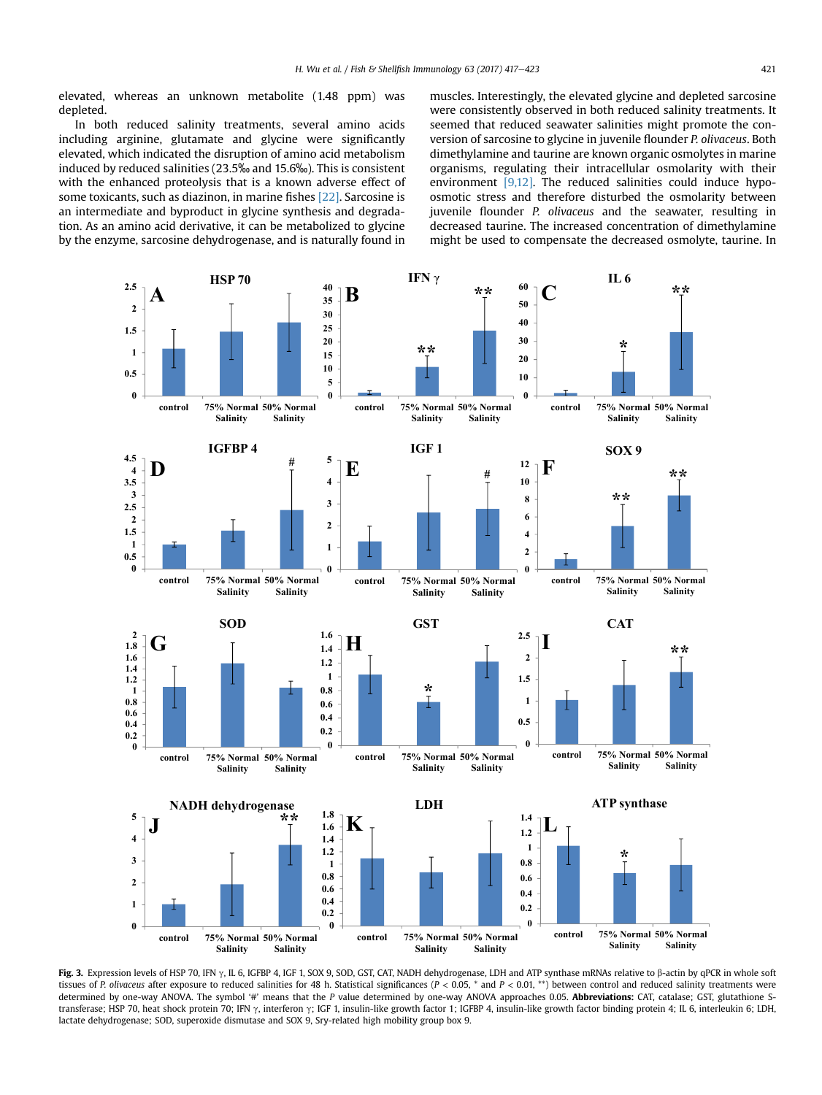<span id="page-4-0"></span>elevated, whereas an unknown metabolite (1.48 ppm) was depleted.

In both reduced salinity treatments, several amino acids including arginine, glutamate and glycine were significantly elevated, which indicated the disruption of amino acid metabolism induced by reduced salinities (23.5‰ and 15.6‰). This is consistent with the enhanced proteolysis that is a known adverse effect of some toxicants, such as diazinon, in marine fishes [\[22\].](#page-6-0) Sarcosine is an intermediate and byproduct in glycine synthesis and degradation. As an amino acid derivative, it can be metabolized to glycine by the enzyme, sarcosine dehydrogenase, and is naturally found in muscles. Interestingly, the elevated glycine and depleted sarcosine were consistently observed in both reduced salinity treatments. It seemed that reduced seawater salinities might promote the conversion of sarcosine to glycine in juvenile flounder P. olivaceus. Both dimethylamine and taurine are known organic osmolytes in marine organisms, regulating their intracellular osmolarity with their environment [\[9,12\]](#page-5-0). The reduced salinities could induce hypoosmotic stress and therefore disturbed the osmolarity between juvenile flounder P. olivaceus and the seawater, resulting in decreased taurine. The increased concentration of dimethylamine might be used to compensate the decreased osmolyte, taurine. In



Fig. 3. Expression levels of HSP 70, IFN  $\gamma$ , IL 6, IGFBP 4, IGF 1, SOX 9, SOD, GST, CAT, NADH dehydrogenase, LDH and ATP synthase mRNAs relative to  $\beta$ -actin by qPCR in whole soft tissues of P. olivaceus after exposure to reduced salinities for 48 h. Statistical significances ( $P < 0.05$ , \* and  $P < 0.01$ , \*\*) between control and reduced salinity treatments were determined by one-way ANOVA. The symbol '#' means that the P value determined by one-way ANOVA approaches 0.05. Abbreviations: CAT, catalase; GST, glutathione Stransferase; HSP 70, heat shock protein 70; IFN  $\gamma$ , interferon  $\gamma$ ; IGF 1, insulin-like growth factor 1; IGFBP 4, insulin-like growth factor binding protein 4; IL 6, interleukin 6; LDH, lactate dehydrogenase; SOD, superoxide dismutase and SOX 9, Sry-related high mobility group box 9.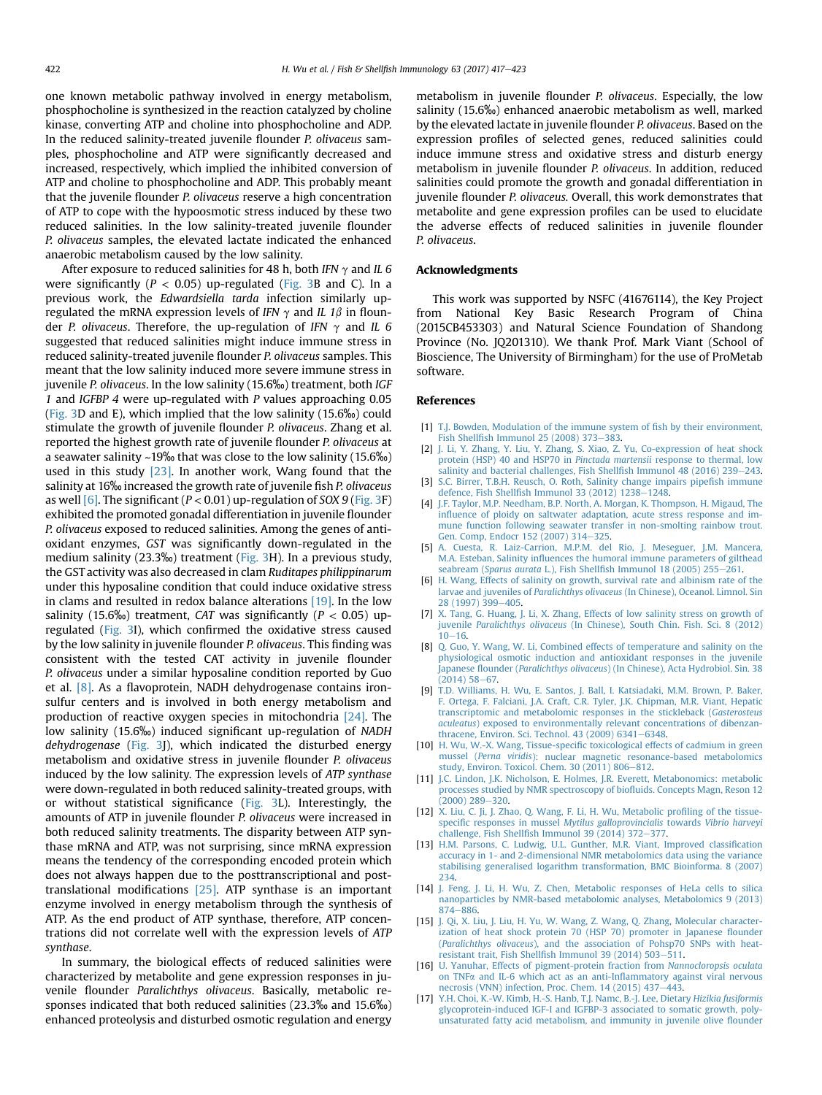<span id="page-5-0"></span>one known metabolic pathway involved in energy metabolism, phosphocholine is synthesized in the reaction catalyzed by choline kinase, converting ATP and choline into phosphocholine and ADP. In the reduced salinity-treated juvenile flounder P. olivaceus samples, phosphocholine and ATP were significantly decreased and increased, respectively, which implied the inhibited conversion of ATP and choline to phosphocholine and ADP. This probably meant that the juvenile flounder P. olivaceus reserve a high concentration of ATP to cope with the hypoosmotic stress induced by these two reduced salinities. In the low salinity-treated juvenile flounder P. olivaceus samples, the elevated lactate indicated the enhanced anaerobic metabolism caused by the low salinity.

After exposure to reduced salinities for 48 h, both IFN  $\gamma$  and IL 6 were significantly ( $P < 0.05$ ) up-regulated ([Fig. 3](#page-4-0)B and C). In a previous work, the Edwardsiella tarda infection similarly upregulated the mRNA expression levels of IFN  $\gamma$  and IL 1 $\beta$  in flounder P. olivaceus. Therefore, the up-regulation of IFN  $\gamma$  and IL 6 suggested that reduced salinities might induce immune stress in reduced salinity-treated juvenile flounder P. olivaceus samples. This meant that the low salinity induced more severe immune stress in juvenile P. olivaceus. In the low salinity (15.6‰) treatment, both IGF 1 and IGFBP 4 were up-regulated with P values approaching 0.05 ([Fig. 3](#page-4-0)D and E), which implied that the low salinity (15.6‰) could stimulate the growth of juvenile flounder P. olivaceus. Zhang et al. reported the highest growth rate of juvenile flounder P. olivaceus at a seawater salinity ~19‰ that was close to the low salinity (15.6‰) used in this study [\[23\]](#page-6-0). In another work, Wang found that the salinity at 16‰ increased the growth rate of juvenile fish P. olivaceus as well  $[6]$ . The significant ( $P < 0.01$ ) up-regulation of SOX 9 [\(Fig. 3F](#page-4-0)) exhibited the promoted gonadal differentiation in juvenile flounder P. olivaceus exposed to reduced salinities. Among the genes of antioxidant enzymes, GST was significantly down-regulated in the medium salinity (23.3‰) treatment [\(Fig. 3H](#page-4-0)). In a previous study, the GST activity was also decreased in clam Ruditapes philippinarum under this hyposaline condition that could induce oxidative stress in clams and resulted in redox balance alterations [\[19\]](#page-6-0). In the low salinity (15.6‰) treatment, CAT was significantly ( $P < 0.05$ ) upregulated [\(Fig. 3I](#page-4-0)), which confirmed the oxidative stress caused by the low salinity in juvenile flounder P. olivaceus. This finding was consistent with the tested CAT activity in juvenile flounder P. olivaceus under a similar hyposaline condition reported by Guo et al. [8]. As a flavoprotein, NADH dehydrogenase contains ironsulfur centers and is involved in both energy metabolism and production of reactive oxygen species in mitochondria [\[24\].](#page-6-0) The low salinity (15.6‰) induced significant up-regulation of NADH dehydrogenase [\(Fig. 3J](#page-4-0)), which indicated the disturbed energy metabolism and oxidative stress in juvenile flounder P. olivaceus induced by the low salinity. The expression levels of ATP synthase were down-regulated in both reduced salinity-treated groups, with or without statistical significance ([Fig. 3](#page-4-0)L). Interestingly, the amounts of ATP in juvenile flounder P. olivaceus were increased in both reduced salinity treatments. The disparity between ATP synthase mRNA and ATP, was not surprising, since mRNA expression means the tendency of the corresponding encoded protein which does not always happen due to the posttranscriptional and posttranslational modifications [\[25\].](#page-6-0) ATP synthase is an important enzyme involved in energy metabolism through the synthesis of ATP. As the end product of ATP synthase, therefore, ATP concentrations did not correlate well with the expression levels of ATP synthase.

In summary, the biological effects of reduced salinities were characterized by metabolite and gene expression responses in juvenile flounder Paralichthys olivaceus. Basically, metabolic responses indicated that both reduced salinities (23.3‰ and 15.6‰) enhanced proteolysis and disturbed osmotic regulation and energy

metabolism in juvenile flounder P. olivaceus. Especially, the low salinity (15.6‰) enhanced anaerobic metabolism as well, marked by the elevated lactate in juvenile flounder P. olivaceus. Based on the expression profiles of selected genes, reduced salinities could induce immune stress and oxidative stress and disturb energy metabolism in juvenile flounder P. olivaceus. In addition, reduced salinities could promote the growth and gonadal differentiation in juvenile flounder P. olivaceus. Overall, this work demonstrates that metabolite and gene expression profiles can be used to elucidate the adverse effects of reduced salinities in juvenile flounder P. olivaceus.

## Acknowledgments

This work was supported by NSFC (41676114), the Key Project from National Key Basic Research Program of China (2015CB453303) and Natural Science Foundation of Shandong Province (No. JQ201310). We thank Prof. Mark Viant (School of Bioscience, The University of Birmingham) for the use of ProMetab software.

## References

- [1] [T.J. Bowden, Modulation of the immune system of](http://refhub.elsevier.com/S1050-4648(17)30114-6/sref1) fish by their environment, Fish Shellfi[sh Immunol 25 \(2008\) 373](http://refhub.elsevier.com/S1050-4648(17)30114-6/sref1)-[383.](http://refhub.elsevier.com/S1050-4648(17)30114-6/sref1)
- [2] [J. Li, Y. Zhang, Y. Liu, Y. Zhang, S. Xiao, Z. Yu, Co-expression of heat shock](http://refhub.elsevier.com/S1050-4648(17)30114-6/sref2) [protein \(HSP\) 40 and HSP70 in](http://refhub.elsevier.com/S1050-4648(17)30114-6/sref2) Pinctada martensii response to thermal, low [salinity and bacterial challenges, Fish Shell](http://refhub.elsevier.com/S1050-4648(17)30114-6/sref2)fish Immunol 48 (2016) 239-[243](http://refhub.elsevier.com/S1050-4648(17)30114-6/sref2).
- [3] [S.C. Birrer, T.B.H. Reusch, O. Roth, Salinity change impairs pipe](http://refhub.elsevier.com/S1050-4648(17)30114-6/sref3)fish immune defence, Fish Shellfish Immunol 33 (2012)  $1238-1248$ .
- [4] [J.F. Taylor, M.P. Needham, B.P. North, A. Morgan, K. Thompson, H. Migaud, The](http://refhub.elsevier.com/S1050-4648(17)30114-6/sref4) infl[uence of ploidy on saltwater adaptation, acute stress response and im](http://refhub.elsevier.com/S1050-4648(17)30114-6/sref4)[mune function following seawater transfer in non-smolting rainbow trout.](http://refhub.elsevier.com/S1050-4648(17)30114-6/sref4) [Gen. Comp, Endocr 152 \(2007\) 314](http://refhub.elsevier.com/S1050-4648(17)30114-6/sref4)-[325.](http://refhub.elsevier.com/S1050-4648(17)30114-6/sref4)
- [5] [A. Cuesta, R. Laiz-Carrion, M.P.M. del Rio, J. Meseguer, J.M. Mancera,](http://refhub.elsevier.com/S1050-4648(17)30114-6/sref5) M.A. Esteban, Salinity infl[uences the humoral immune parameters of gilthead](http://refhub.elsevier.com/S1050-4648(17)30114-6/sref5) seabream (Sparus aurata L.), Fish Shellfi[sh Immunol 18 \(2005\) 255](http://refhub.elsevier.com/S1050-4648(17)30114-6/sref5)-[261.](http://refhub.elsevier.com/S1050-4648(17)30114-6/sref5)
- [6] [H. Wang, Effects of salinity on growth, survival rate and albinism rate of the](http://refhub.elsevier.com/S1050-4648(17)30114-6/sref6) larvae and juveniles of Paralichthys olivaceus [\(In Chinese\), Oceanol. Limnol. Sin](http://refhub.elsevier.com/S1050-4648(17)30114-6/sref6) [28 \(1997\) 399](http://refhub.elsevier.com/S1050-4648(17)30114-6/sref6)-[405](http://refhub.elsevier.com/S1050-4648(17)30114-6/sref6).
- [7] [X. Tang, G. Huang, J. Li, X. Zhang, Effects of low salinity stress on growth of](http://refhub.elsevier.com/S1050-4648(17)30114-6/sref7) juvenile Paralichthys olivaceus [\(In Chinese\), South Chin. Fish. Sci. 8 \(2012\)](http://refhub.elsevier.com/S1050-4648(17)30114-6/sref7)  $10 - 16$  $10 - 16$ .
- [8] [Q. Guo, Y. Wang, W. Li, Combined effects of temperature and salinity on the](http://refhub.elsevier.com/S1050-4648(17)30114-6/sref8) [physiological osmotic induction and antioxidant responses in the juvenile](http://refhub.elsevier.com/S1050-4648(17)30114-6/sref8) Japanese flounder (Paralichthys olivaceus[\) \(In Chinese\), Acta Hydrobiol. Sin. 38](http://refhub.elsevier.com/S1050-4648(17)30114-6/sref8)  $(2014)$  58-[67](http://refhub.elsevier.com/S1050-4648(17)30114-6/sref8).
- [9] [T.D. Williams, H. Wu, E. Santos, J. Ball, I. Katsiadaki, M.M. Brown, P. Baker,](http://refhub.elsevier.com/S1050-4648(17)30114-6/sref9) [F. Ortega, F. Falciani, J.A. Craft, C.R. Tyler, J.K. Chipman, M.R. Viant, Hepatic](http://refhub.elsevier.com/S1050-4648(17)30114-6/sref9) [transcriptomic and metabolomic responses in the stickleback \(](http://refhub.elsevier.com/S1050-4648(17)30114-6/sref9)Gasterosteus aculeatus[\) exposed to environmentally relevant concentrations of dibenzan](http://refhub.elsevier.com/S1050-4648(17)30114-6/sref9)thracene, Environ. Sci. Technol.  $43$  (2009) 6341-[6348.](http://refhub.elsevier.com/S1050-4648(17)30114-6/sref9)
- [10] H. Wu, W.-X. Wang, Tissue-specifi[c toxicological effects of cadmium in green](http://refhub.elsevier.com/S1050-4648(17)30114-6/sref10) mussel (Perna viridis[\): nuclear magnetic resonance-based metabolomics](http://refhub.elsevier.com/S1050-4648(17)30114-6/sref10) [study, Environ. Toxicol. Chem. 30 \(2011\) 806](http://refhub.elsevier.com/S1050-4648(17)30114-6/sref10)-[812](http://refhub.elsevier.com/S1050-4648(17)30114-6/sref10).
- [11] [J.C. Lindon, J.K. Nicholson, E. Holmes, J.R. Everett, Metabonomics: metabolic](http://refhub.elsevier.com/S1050-4648(17)30114-6/sref11) [processes studied by NMR spectroscopy of bio](http://refhub.elsevier.com/S1050-4648(17)30114-6/sref11)fluids. Concepts Magn, Reson 12  $(2000)$   $289 - 320$  $289 - 320$ .
- [12] [X. Liu, C. Ji, J. Zhao, Q. Wang, F. Li, H. Wu, Metabolic pro](http://refhub.elsevier.com/S1050-4648(17)30114-6/sref12)filing of the tissuespecific responses in mussel [Mytilus galloprovincialis](http://refhub.elsevier.com/S1050-4648(17)30114-6/sref12) towards Vibrio harveyi challenge, Fish Shellfi[sh Immunol 39 \(2014\) 372](http://refhub.elsevier.com/S1050-4648(17)30114-6/sref12) $-377$ .
- [13] [H.M. Parsons, C. Ludwig, U.L. Gunther, M.R. Viant, Improved classi](http://refhub.elsevier.com/S1050-4648(17)30114-6/sref13)fication [accuracy in 1- and 2-dimensional NMR metabolomics data using the variance](http://refhub.elsevier.com/S1050-4648(17)30114-6/sref13) [stabilising generalised logarithm transformation, BMC Bioinforma. 8 \(2007\)](http://refhub.elsevier.com/S1050-4648(17)30114-6/sref13) [234](http://refhub.elsevier.com/S1050-4648(17)30114-6/sref13).
- [14] [J. Feng, J. Li, H. Wu, Z. Chen, Metabolic responses of HeLa cells to silica](http://refhub.elsevier.com/S1050-4648(17)30114-6/sref14) [nanoparticles by NMR-based metabolomic analyses, Metabolomics 9 \(2013\)](http://refhub.elsevier.com/S1050-4648(17)30114-6/sref14) [874](http://refhub.elsevier.com/S1050-4648(17)30114-6/sref14)-886
- [15] [J. Qi, X. Liu, J. Liu, H. Yu, W. Wang, Z. Wang, Q. Zhang, Molecular character](http://refhub.elsevier.com/S1050-4648(17)30114-6/sref15)[ization of heat shock protein 70 \(HSP 70\) promoter in Japanese](http://refhub.elsevier.com/S1050-4648(17)30114-6/sref15) flounder (Paralichthys olivaceus[\), and the association of Pohsp70 SNPs with heat](http://refhub.elsevier.com/S1050-4648(17)30114-6/sref15)resistant trait, Fish Shellfi[sh Immunol 39 \(2014\) 503](http://refhub.elsevier.com/S1050-4648(17)30114-6/sref15)-[511](http://refhub.elsevier.com/S1050-4648(17)30114-6/sref15).
- [16] [U. Yanuhar, Effects of pigment-protein fraction from](http://refhub.elsevier.com/S1050-4648(17)30114-6/sref16) Nannocloropsis oculata on TNFa [and IL-6 which act as an anti-In](http://refhub.elsevier.com/S1050-4648(17)30114-6/sref16)flammatory against viral nervous [necrosis \(VNN\) infection, Proc. Chem. 14 \(2015\) 437](http://refhub.elsevier.com/S1050-4648(17)30114-6/sref16)-[443](http://refhub.elsevier.com/S1050-4648(17)30114-6/sref16).
- [17] [Y.H. Choi, K.-W. Kimb, H.-S. Hanb, T.J. Namc, B.-J. Lee, Dietary](http://refhub.elsevier.com/S1050-4648(17)30114-6/sref17) Hizikia fusiformis [glycoprotein-induced IGF-I and IGFBP-3 associated to somatic growth, poly](http://refhub.elsevier.com/S1050-4648(17)30114-6/sref17)[unsaturated fatty acid metabolism, and immunity in juvenile olive](http://refhub.elsevier.com/S1050-4648(17)30114-6/sref17) flounder